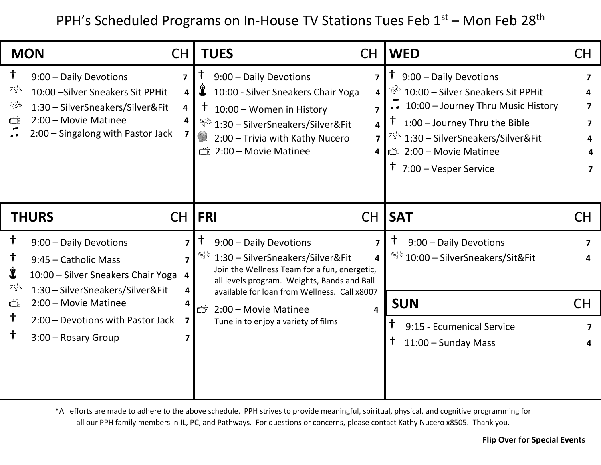PPH's Scheduled Programs on In-House TV Stations Tues Feb 1st – Mon Feb 28<sup>th</sup>

| <b>MON</b>                                                                                                                                                                                      | <b>CH</b>                                                    | <b>TUES</b><br><b>CH</b>                                                                                                                                                                                                                                                                                                     | <b>WED</b>                                                                                                                                                                                                                                                         | CH                                          |
|-------------------------------------------------------------------------------------------------------------------------------------------------------------------------------------------------|--------------------------------------------------------------|------------------------------------------------------------------------------------------------------------------------------------------------------------------------------------------------------------------------------------------------------------------------------------------------------------------------------|--------------------------------------------------------------------------------------------------------------------------------------------------------------------------------------------------------------------------------------------------------------------|---------------------------------------------|
| $^\dagger$<br>9:00 - Daily Devotions<br>ৎক্ষ<br>10:00 - Silver Sneakers Sit PPHit<br>ৎক্ষ<br>1:30 - SilverSneakers/Silver&Fit<br>2:00 - Movie Matinee<br>Ď<br>2:00 – Singalong with Pastor Jack | $\overline{\mathbf{z}}$<br>4<br>$\overline{\mathbf{4}}$<br>4 | $\bm{\dagger}$<br>9:00 - Daily Devotions<br>7<br>$\mathbf{\hat{r}}$<br>10:00 - Silver Sneakers Chair Yoga<br>4<br>$\ddagger$<br>10:00 - Women in History<br>7<br>❤️<br>1:30 - SilverSneakers/Silver&Fit<br>$\overline{\mathbf{4}}$<br>$\mathbb{C}$<br>2:00 - Trivia with Kathy Nucero<br>7<br>2:00 - Movie Matinee<br>Ď<br>4 | $\uparrow$ 9:00 – Daily Devotions<br>S.<br>10:00 - Silver Sneakers Sit PPHit<br>10:00 - Journey Thru Music History<br>JJ<br>1:00 - Journey Thru the Bible<br>ED.<br>1:30 - SilverSneakers/Silver&Fit<br>□ 2:00 - Movie Matinee<br>$\uparrow$ 7:00 – Vesper Service | 7<br>Δ<br>7<br>$\overline{\mathbf{z}}$<br>7 |
| <b>THURS</b>                                                                                                                                                                                    | <b>CH</b>                                                    | <b>FRI</b><br><b>CH</b>                                                                                                                                                                                                                                                                                                      | <b>SAT</b>                                                                                                                                                                                                                                                         | CH                                          |
|                                                                                                                                                                                                 |                                                              |                                                                                                                                                                                                                                                                                                                              |                                                                                                                                                                                                                                                                    |                                             |
| $^\dagger$<br>9:00 - Daily Devotions<br>t<br>9:45 - Catholic Mass<br>$\hat{\mathbf{x}}$<br>10:00 - Silver Sneakers Chair Yoga                                                                   | $\overline{ }$<br>7<br>$\overline{a}$                        | Ť<br>9:00 - Daily Devotions<br>7<br>❤️<br>1:30 - SilverSneakers/Silver&Fit<br>4<br>Join the Wellness Team for a fun, energetic,<br>all levels program. Weights, Bands and Ball                                                                                                                                               | t<br>9:00 - Daily Devotions<br>₩<br>10:00 - SilverSneakers/Sit&Fit                                                                                                                                                                                                 | 7<br>Δ                                      |
| ❤️<br>1:30 - SilverSneakers/Silver&Fit<br>2:00 - Movie Matinee<br>Ď<br>$\dagger$                                                                                                                | 4<br>4                                                       | available for loan from Wellness. Call x8007<br>Ď<br>2:00 - Movie Matinee<br>4                                                                                                                                                                                                                                               | <b>SUN</b>                                                                                                                                                                                                                                                         | <b>CH</b>                                   |

\*All efforts are made to adhere to the above schedule. PPH strives to provide meaningful, spiritual, physical, and cognitive programming for all our PPH family members in IL, PC, and Pathways. For questions or concerns, please contact Kathy Nucero x8505. Thank you.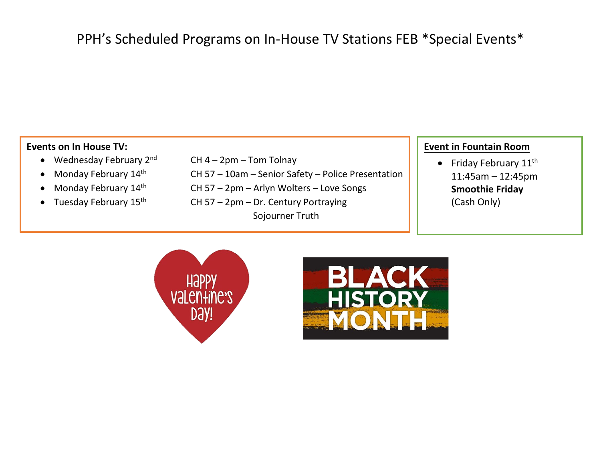## PPH's Scheduled Programs on In-House TV Stations FEB \*Special Events\*

## **Events on In House TV:**

- Wednesday February  $2^{nd}$  CH 4 2pm Tom Tolnay
- 
- Monday February 14th
- 
- 
- Monday February  $14^{th}$  CH 57 10am Senior Safety Police Presentation
	- th CH 57 2pm Arlyn Wolters Love Songs
- Tuesday February  $15^{th}$  CH 57 2pm Dr. Century Portraying Sojourner Truth

## **Event in Fountain Room**

• Friday February  $11^{\text{th}}$ 11:45am – 12:45pm **Smoothie Friday** (Cash Only)